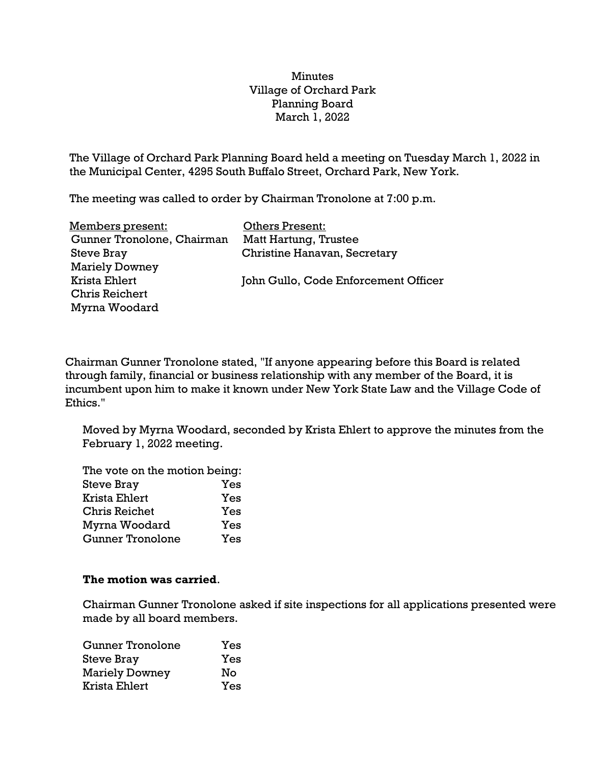## Minutes Village of Orchard Park Planning Board March 1, 2022

The Village of Orchard Park Planning Board held a meeting on Tuesday March 1, 2022 in the Municipal Center, 4295 South Buffalo Street, Orchard Park, New York.

The meeting was called to order by Chairman Tronolone at 7:00 p.m.

| <u>Members present:</u>    | <b>Others Present:</b>               |
|----------------------------|--------------------------------------|
| Gunner Tronolone, Chairman | Matt Hartung, Trustee                |
| <b>Steve Bray</b>          | Christine Hanavan, Secretary         |
| <b>Mariely Downey</b>      |                                      |
| Krista Ehlert              | John Gullo, Code Enforcement Officer |
| <b>Chris Reichert</b>      |                                      |
| Myrna Woodard              |                                      |
|                            |                                      |

Chairman Gunner Tronolone stated, "If anyone appearing before this Board is related through family, financial or business relationship with any member of the Board, it is incumbent upon him to make it known under New York State Law and the Village Code of Ethics."

Moved by Myrna Woodard, seconded by Krista Ehlert to approve the minutes from the February 1, 2022 meeting.

The vote on the motion being: Steve Bray Yes Krista Ehlert Yes Chris Reichet Yes Myrna Woodard Yes Gunner Tronolone Yes

## **The motion was carried**.

Chairman Gunner Tronolone asked if site inspections for all applications presented were made by all board members.

| Gunner Tronolone      | Yes |
|-----------------------|-----|
| <b>Steve Bray</b>     | Yes |
| <b>Mariely Downey</b> | No  |
| Krista Ehlert         | Yes |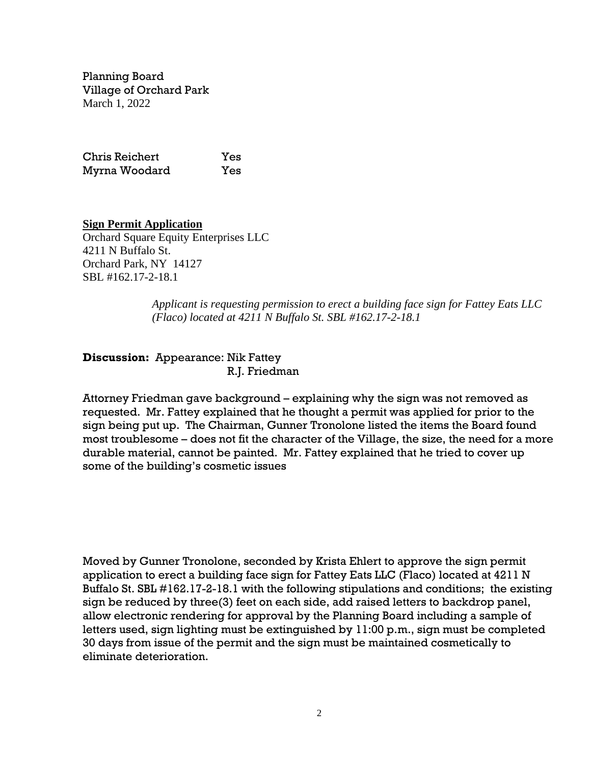Planning Board Village of Orchard Park March 1, 2022

Chris Reichert Yes Myrna Woodard Yes

**Sign Permit Application** Orchard Square Equity Enterprises LLC 4211 N Buffalo St. Orchard Park, NY 14127 SBL #162.17-2-18.1

> *Applicant is requesting permission to erect a building face sign for Fattey Eats LLC (Flaco) located at 4211 N Buffalo St. SBL #162.17-2-18.1*

**Discussion:** Appearance: Nik Fattey R.J. Friedman

Attorney Friedman gave background – explaining why the sign was not removed as requested. Mr. Fattey explained that he thought a permit was applied for prior to the sign being put up. The Chairman, Gunner Tronolone listed the items the Board found most troublesome – does not fit the character of the Village, the size, the need for a more durable material, cannot be painted. Mr. Fattey explained that he tried to cover up some of the building's cosmetic issues

Moved by Gunner Tronolone, seconded by Krista Ehlert to approve the sign permit application to erect a building face sign for Fattey Eats LLC (Flaco) located at 4211 N Buffalo St. SBL #162.17-2-18.1 with the following stipulations and conditions; the existing sign be reduced by three(3) feet on each side, add raised letters to backdrop panel, allow electronic rendering for approval by the Planning Board including a sample of letters used, sign lighting must be extinguished by 11:00 p.m., sign must be completed 30 days from issue of the permit and the sign must be maintained cosmetically to eliminate deterioration.